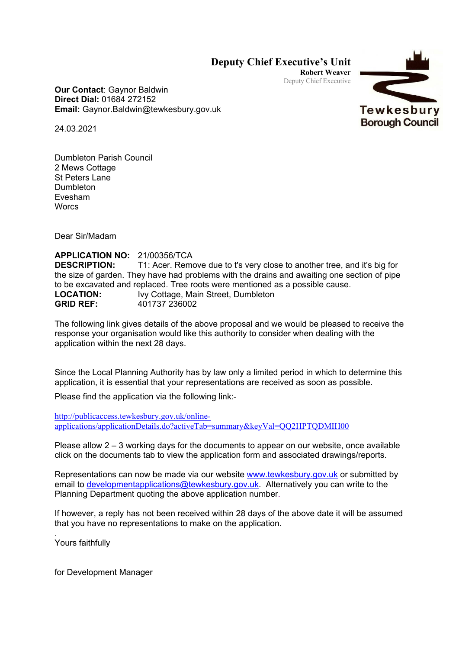## **Deputy Chief Executive's Unit**

**Robert Weaver** Deputy Chief Executive



**Our Contact**: Gaynor Baldwin **Direct Dial:** 01684 272152 **Email:** Gaynor.Baldwin@tewkesbury.gov.uk

24.03.2021

Dumbleton Parish Council 2 Mews Cottage St Peters Lane Dumbleton Evesham **Worcs** 

Dear Sir/Madam

**APPLICATION NO:** 21/00356/TCA **DESCRIPTION:** T1: Acer. Remove due to t's very close to another tree, and it's big for the size of garden. They have had problems with the drains and awaiting one section of pipe to be excavated and replaced. Tree roots were mentioned as a possible cause. **LOCATION:** Ivy Cottage, Main Street, Dumbleton **GRID REF:** 401737 236002

The following link gives details of the above proposal and we would be pleased to receive the response your organisation would like this authority to consider when dealing with the application within the next 28 days.

Since the Local Planning Authority has by law only a limited period in which to determine this application, it is essential that your representations are received as soon as possible.

Please find the application via the following link:-

[http://publicaccess.tewkesbury.gov.uk/online](http://publicaccess.tewkesbury.gov.uk/online-applications/applicationDetails.do?activeTab=summary&keyVal=QQ2HPTQDMIH00)[applications/applicationDetails.do?activeTab=summary&keyVal=QQ2HPTQDMIH00](http://publicaccess.tewkesbury.gov.uk/online-applications/applicationDetails.do?activeTab=summary&keyVal=QQ2HPTQDMIH00)

Please allow 2 – 3 working days for the documents to appear on our website, once available click on the documents tab to view the application form and associated drawings/reports.

Representations can now be made via our website [www.tewkesbury.gov.uk](http://www.tewkesbury.gov.uk/) or submitted by email to [developmentapplications@tewkesbury.gov.uk.](mailto:developmentapplications@tewkesbury.gov.uk) Alternatively you can write to the Planning Department quoting the above application number.

If however, a reply has not been received within 28 days of the above date it will be assumed that you have no representations to make on the application.

. Yours faithfully

for Development Manager